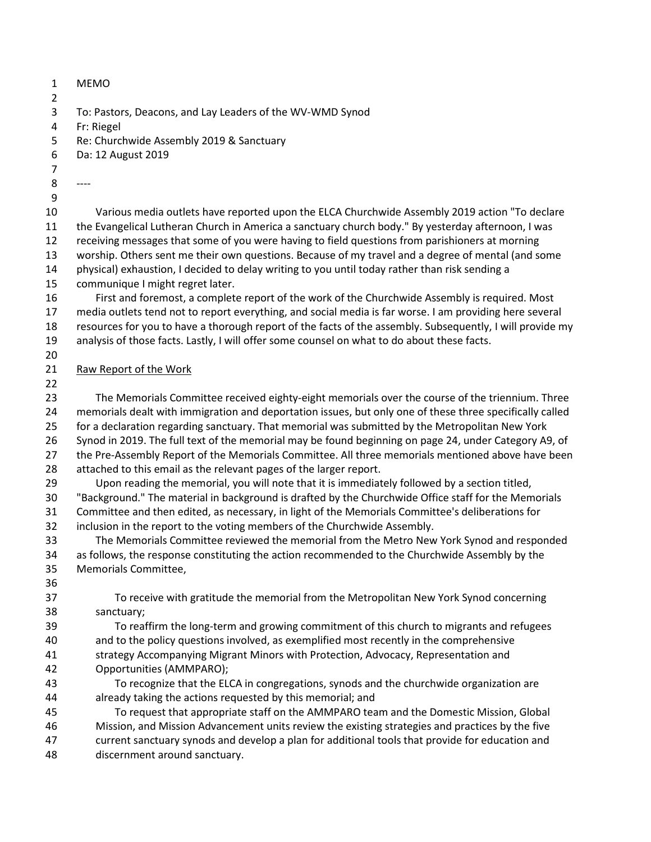| 1<br>$\overline{2}$ | <b>MEMO</b>                                                                                               |
|---------------------|-----------------------------------------------------------------------------------------------------------|
| 3                   | To: Pastors, Deacons, and Lay Leaders of the WV-WMD Synod                                                 |
| 4                   | Fr: Riegel                                                                                                |
| 5                   | Re: Churchwide Assembly 2019 & Sanctuary                                                                  |
| 6                   | Da: 12 August 2019                                                                                        |
| 7                   |                                                                                                           |
| 8                   | ----                                                                                                      |
| 9                   |                                                                                                           |
| 10                  | Various media outlets have reported upon the ELCA Churchwide Assembly 2019 action "To declare             |
| 11                  | the Evangelical Lutheran Church in America a sanctuary church body." By yesterday afternoon, I was        |
| 12                  | receiving messages that some of you were having to field questions from parishioners at morning           |
| 13                  | worship. Others sent me their own questions. Because of my travel and a degree of mental (and some        |
| 14                  | physical) exhaustion, I decided to delay writing to you until today rather than risk sending a            |
| 15                  | communique I might regret later.                                                                          |
| 16                  | First and foremost, a complete report of the work of the Churchwide Assembly is required. Most            |
| 17                  | media outlets tend not to report everything, and social media is far worse. I am providing here several   |
| 18                  | resources for you to have a thorough report of the facts of the assembly. Subsequently, I will provide my |
| 19                  | analysis of those facts. Lastly, I will offer some counsel on what to do about these facts.               |
| 20                  |                                                                                                           |
| 21                  | Raw Report of the Work                                                                                    |
| 22                  |                                                                                                           |
| 23                  | The Memorials Committee received eighty-eight memorials over the course of the triennium. Three           |
| 24                  | memorials dealt with immigration and deportation issues, but only one of these three specifically called  |
| 25                  | for a declaration regarding sanctuary. That memorial was submitted by the Metropolitan New York           |
| 26                  | Synod in 2019. The full text of the memorial may be found beginning on page 24, under Category A9, of     |
| 27                  | the Pre-Assembly Report of the Memorials Committee. All three memorials mentioned above have been         |
| 28                  | attached to this email as the relevant pages of the larger report.                                        |
| 29                  | Upon reading the memorial, you will note that it is immediately followed by a section titled,             |
| 30                  | "Background." The material in background is drafted by the Churchwide Office staff for the Memorials      |
| 31                  | Committee and then edited, as necessary, in light of the Memorials Committee's deliberations for          |
| 32                  | inclusion in the report to the voting members of the Churchwide Assembly.                                 |
| 33                  | The Memorials Committee reviewed the memorial from the Metro New York Synod and responded                 |
| 34                  | as follows, the response constituting the action recommended to the Churchwide Assembly by the            |
| 35<br>36            | Memorials Committee,                                                                                      |
| 37                  | To receive with gratitude the memorial from the Metropolitan New York Synod concerning                    |
| 38                  | sanctuary;                                                                                                |
| 39                  | To reaffirm the long-term and growing commitment of this church to migrants and refugees                  |
| 40                  | and to the policy questions involved, as exemplified most recently in the comprehensive                   |
| 41                  | strategy Accompanying Migrant Minors with Protection, Advocacy, Representation and                        |
| 42                  | Opportunities (AMMPARO);                                                                                  |
| 43                  | To recognize that the ELCA in congregations, synods and the churchwide organization are                   |
| 44                  | already taking the actions requested by this memorial; and                                                |
| 45                  | To request that appropriate staff on the AMMPARO team and the Domestic Mission, Global                    |
| 46                  | Mission, and Mission Advancement units review the existing strategies and practices by the five           |
| 47                  | current sanctuary synods and develop a plan for additional tools that provide for education and           |
| 48                  | discernment around sanctuary.                                                                             |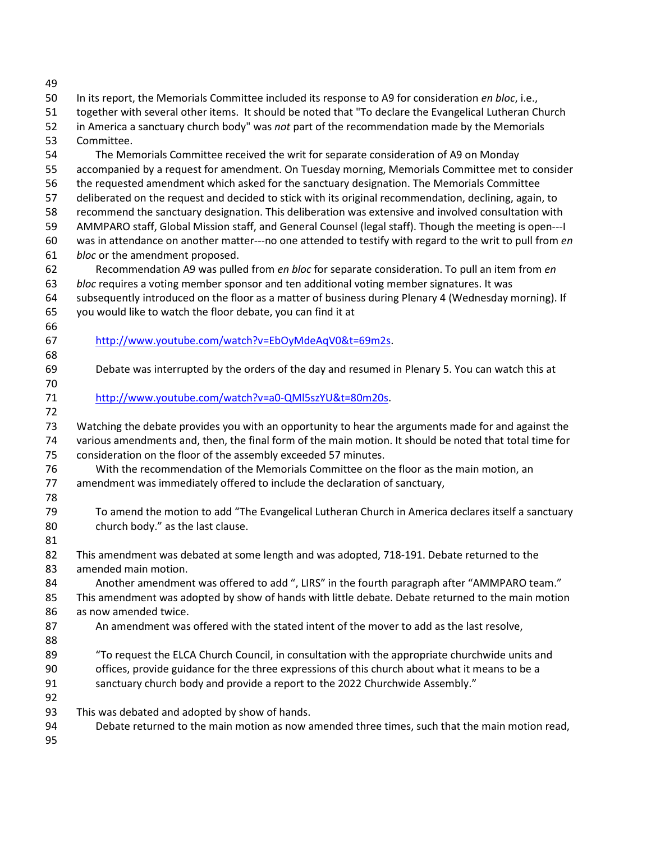| 49       |                                                                                                                    |
|----------|--------------------------------------------------------------------------------------------------------------------|
| 50       | In its report, the Memorials Committee included its response to A9 for consideration en bloc, i.e.,                |
| 51       | together with several other items. It should be noted that "To declare the Evangelical Lutheran Church             |
| 52       | in America a sanctuary church body" was not part of the recommendation made by the Memorials                       |
| 53       | Committee.                                                                                                         |
| 54       | The Memorials Committee received the writ for separate consideration of A9 on Monday                               |
| 55       | accompanied by a request for amendment. On Tuesday morning, Memorials Committee met to consider                    |
| 56       | the requested amendment which asked for the sanctuary designation. The Memorials Committee                         |
| 57       | deliberated on the request and decided to stick with its original recommendation, declining, again, to             |
| 58       | recommend the sanctuary designation. This deliberation was extensive and involved consultation with                |
| 59       | AMMPARO staff, Global Mission staff, and General Counsel (legal staff). Though the meeting is open---I             |
| 60       | was in attendance on another matter---no one attended to testify with regard to the writ to pull from en           |
| 61       | bloc or the amendment proposed.                                                                                    |
| 62       | Recommendation A9 was pulled from en bloc for separate consideration. To pull an item from en                      |
| 63       | bloc requires a voting member sponsor and ten additional voting member signatures. It was                          |
| 64       | subsequently introduced on the floor as a matter of business during Plenary 4 (Wednesday morning). If              |
| 65       | you would like to watch the floor debate, you can find it at                                                       |
| 66       |                                                                                                                    |
| 67       | http://www.youtube.com/watch?v=EbOyMdeAqV0&t=69m2s.                                                                |
| 68<br>69 | Debate was interrupted by the orders of the day and resumed in Plenary 5. You can watch this at                    |
| 70       |                                                                                                                    |
| 71       | http://www.youtube.com/watch?v=a0-QMI5szYU&t=80m20s.                                                               |
| 72       |                                                                                                                    |
| 73       | Watching the debate provides you with an opportunity to hear the arguments made for and against the                |
| 74       | various amendments and, then, the final form of the main motion. It should be noted that total time for            |
| 75       | consideration on the floor of the assembly exceeded 57 minutes.                                                    |
| 76       | With the recommendation of the Memorials Committee on the floor as the main motion, an                             |
| 77       | amendment was immediately offered to include the declaration of sanctuary,                                         |
| 78       |                                                                                                                    |
| 79       | To amend the motion to add "The Evangelical Lutheran Church in America declares itself a sanctuary                 |
| 80       | church body." as the last clause.                                                                                  |
| 81       |                                                                                                                    |
| 82<br>83 | This amendment was debated at some length and was adopted, 718-191. Debate returned to the<br>amended main motion. |
| 84       | Another amendment was offered to add ", LIRS" in the fourth paragraph after "AMMPARO team."                        |
| 85       | This amendment was adopted by show of hands with little debate. Debate returned to the main motion                 |
| 86       | as now amended twice.                                                                                              |
| 87       | An amendment was offered with the stated intent of the mover to add as the last resolve,                           |
| 88       |                                                                                                                    |
| 89       | "To request the ELCA Church Council, in consultation with the appropriate churchwide units and                     |
| 90       | offices, provide guidance for the three expressions of this church about what it means to be a                     |
| 91       | sanctuary church body and provide a report to the 2022 Churchwide Assembly."                                       |
| 92       |                                                                                                                    |
| 93       | This was debated and adopted by show of hands.                                                                     |
| 94       | Debate returned to the main motion as now amended three times, such that the main motion read,                     |
| 95       |                                                                                                                    |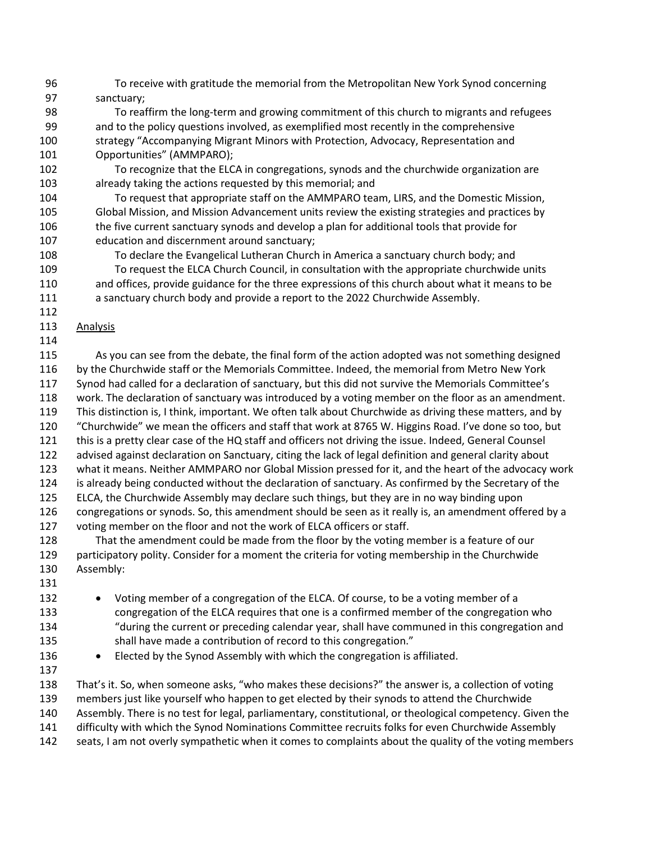- 96 To receive with gratitude the memorial from the Metropolitan New York Synod concerning 97 sanctuary;
- 98 To reaffirm the long-term and growing commitment of this church to migrants and refugees 99 and to the policy questions involved, as exemplified most recently in the comprehensive 100 strategy "Accompanying Migrant Minors with Protection, Advocacy, Representation and 101 Opportunities" (AMMPARO);
- 102 To recognize that the ELCA in congregations, synods and the churchwide organization are 103 already taking the actions requested by this memorial; and
- 104 To request that appropriate staff on the AMMPARO team, LIRS, and the Domestic Mission, 105 Global Mission, and Mission Advancement units review the existing strategies and practices by 106 the five current sanctuary synods and develop a plan for additional tools that provide for 107 education and discernment around sanctuary;
- 108 To declare the Evangelical Lutheran Church in America a sanctuary church body; and 109 To request the ELCA Church Council, in consultation with the appropriate churchwide units 110 and offices, provide guidance for the three expressions of this church about what it means to be 111 a sanctuary church body and provide a report to the 2022 Churchwide Assembly.
- 113 Analysis
- 114

112

115 As you can see from the debate, the final form of the action adopted was not something designed 116 by the Churchwide staff or the Memorials Committee. Indeed, the memorial from Metro New York 117 Synod had called for a declaration of sanctuary, but this did not survive the Memorials Committee's 118 work. The declaration of sanctuary was introduced by a voting member on the floor as an amendment. 119 This distinction is, I think, important. We often talk about Churchwide as driving these matters, and by 120 "Churchwide" we mean the officers and staff that work at 8765 W. Higgins Road. I've done so too, but 121 this is a pretty clear case of the HQ staff and officers not driving the issue. Indeed, General Counsel 122 advised against declaration on Sanctuary, citing the lack of legal definition and general clarity about 123 what it means. Neither AMMPARO nor Global Mission pressed for it, and the heart of the advocacy work 124 is already being conducted without the declaration of sanctuary. As confirmed by the Secretary of the 125 ELCA, the Churchwide Assembly may declare such things, but they are in no way binding upon 126 congregations or synods. So, this amendment should be seen as it really is, an amendment offered by a 127 voting member on the floor and not the work of ELCA officers or staff. 128 That the amendment could be made from the floor by the voting member is a feature of our 129 participatory polity. Consider for a moment the criteria for voting membership in the Churchwide 130 Assembly: 131 132 • Voting member of a congregation of the ELCA. Of course, to be a voting member of a 133 congregation of the ELCA requires that one is a confirmed member of the congregation who 134 "during the current or preceding calendar year, shall have communed in this congregation and 135 shall have made a contribution of record to this congregation." 136 • Elected by the Synod Assembly with which the congregation is affiliated. 137 138 That's it. So, when someone asks, "who makes these decisions?" the answer is, a collection of voting 139 members just like yourself who happen to get elected by their synods to attend the Churchwide 140 Assembly. There is no test for legal, parliamentary, constitutional, or theological competency. Given the 141 difficulty with which the Synod Nominations Committee recruits folks for even Churchwide Assembly 142 seats, I am not overly sympathetic when it comes to complaints about the quality of the voting members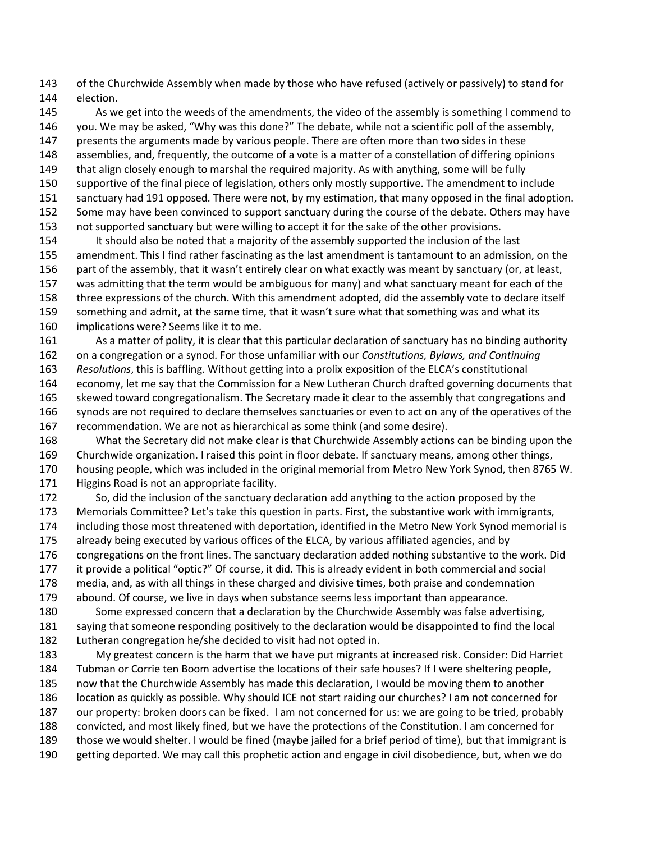143 of the Churchwide Assembly when made by those who have refused (actively or passively) to stand for 144 election.

145 As we get into the weeds of the amendments, the video of the assembly is something I commend to 146 you. We may be asked, "Why was this done?" The debate, while not a scientific poll of the assembly, 147 presents the arguments made by various people. There are often more than two sides in these 148 assemblies, and, frequently, the outcome of a vote is a matter of a constellation of differing opinions 149 that align closely enough to marshal the required majority. As with anything, some will be fully 150 supportive of the final piece of legislation, others only mostly supportive. The amendment to include 151 sanctuary had 191 opposed. There were not, by my estimation, that many opposed in the final adoption. 152 Some may have been convinced to support sanctuary during the course of the debate. Others may have 153 not supported sanctuary but were willing to accept it for the sake of the other provisions. 154 It should also be noted that a majority of the assembly supported the inclusion of the last 155 amendment. This I find rather fascinating as the last amendment is tantamount to an admission, on the 156 part of the assembly, that it wasn't entirely clear on what exactly was meant by sanctuary (or, at least,

157 was admitting that the term would be ambiguous for many) and what sanctuary meant for each of the 158 three expressions of the church. With this amendment adopted, did the assembly vote to declare itself 159 something and admit, at the same time, that it wasn't sure what that something was and what its

160 implications were? Seems like it to me.

161 As a matter of polity, it is clear that this particular declaration of sanctuary has no binding authority 162 on a congregation or a synod. For those unfamiliar with our *Constitutions, Bylaws, and Continuing*  163 *Resolutions*, this is baffling. Without getting into a prolix exposition of the ELCA's constitutional 164 economy, let me say that the Commission for a New Lutheran Church drafted governing documents that 165 skewed toward congregationalism. The Secretary made it clear to the assembly that congregations and 166 synods are not required to declare themselves sanctuaries or even to act on any of the operatives of the 167 recommendation. We are not as hierarchical as some think (and some desire).

168 What the Secretary did not make clear is that Churchwide Assembly actions can be binding upon the 169 Churchwide organization. I raised this point in floor debate. If sanctuary means, among other things, 170 housing people, which was included in the original memorial from Metro New York Synod, then 8765 W. 171 Higgins Road is not an appropriate facility.

172 So, did the inclusion of the sanctuary declaration add anything to the action proposed by the 173 Memorials Committee? Let's take this question in parts. First, the substantive work with immigrants, 174 including those most threatened with deportation, identified in the Metro New York Synod memorial is 175 already being executed by various offices of the ELCA, by various affiliated agencies, and by 176 congregations on the front lines. The sanctuary declaration added nothing substantive to the work. Did 177 it provide a political "optic?" Of course, it did. This is already evident in both commercial and social 178 media, and, as with all things in these charged and divisive times, both praise and condemnation 179 abound. Of course, we live in days when substance seems less important than appearance.

180 Some expressed concern that a declaration by the Churchwide Assembly was false advertising, 181 saying that someone responding positively to the declaration would be disappointed to find the local 182 Lutheran congregation he/she decided to visit had not opted in.

183 My greatest concern is the harm that we have put migrants at increased risk. Consider: Did Harriet 184 Tubman or Corrie ten Boom advertise the locations of their safe houses? If I were sheltering people, 185 now that the Churchwide Assembly has made this declaration, I would be moving them to another 186 location as quickly as possible. Why should ICE not start raiding our churches? I am not concerned for 187 our property: broken doors can be fixed. I am not concerned for us: we are going to be tried, probably 188 convicted, and most likely fined, but we have the protections of the Constitution. I am concerned for 189 those we would shelter. I would be fined (maybe jailed for a brief period of time), but that immigrant is 190 getting deported. We may call this prophetic action and engage in civil disobedience, but, when we do